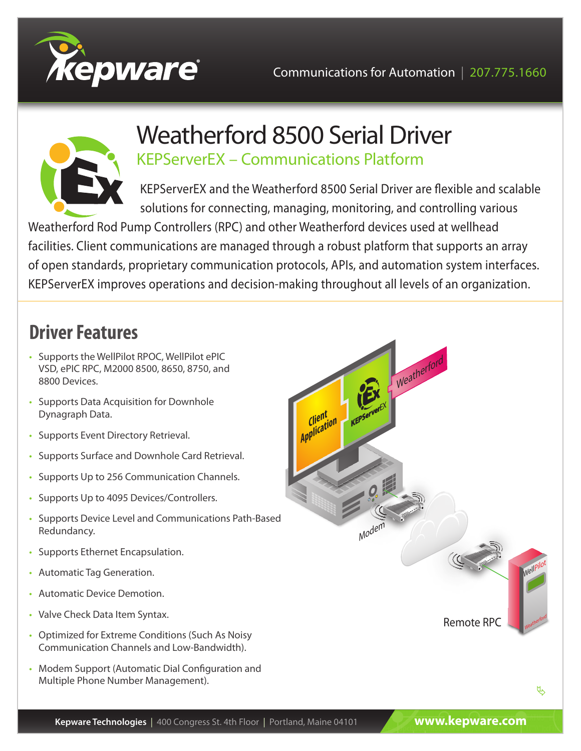



## Weatherford 8500 Serial Driver KEPServerEX – Communications Platform

KEPServerEX and the Weatherford 8500 Serial Driver are flexible and scalable solutions for connecting, managing, monitoring, and controlling various

Weatherford Rod Pump Controllers (RPC) and other Weatherford devices used at wellhead facilities. Client communications are managed through a robust platform that supports an array of open standards, proprietary communication protocols, APIs, and automation system interfaces. KEPServerEX improves operations and decision-making throughout all levels of an organization.

# **Driver Features**

- Supports the WellPilot RPOC, WellPilot ePIC VSD, ePIC RPC, M2000 8500, 8650, 8750, and 8800 Devices.
- Supports Data Acquisition for Downhole Dynagraph Data.
- Supports Event Directory Retrieval.
- Supports Surface and Downhole Card Retrieval.
- Supports Up to 256 Communication Channels.
- Supports Up to 4095 Devices/Controllers.
- Supports Device Level and Communications Path-Based Redundancy.
- Supports Ethernet Encapsulation.
- Automatic Tag Generation.
- Automatic Device Demotion.
- Valve Check Data Item Syntax.
- Optimized for Extreme Conditions (Such As Noisy Communication Channels and Low-Bandwidth).
- Modem Support (Automatic Dial Configuration and Multiple Phone Number Management).